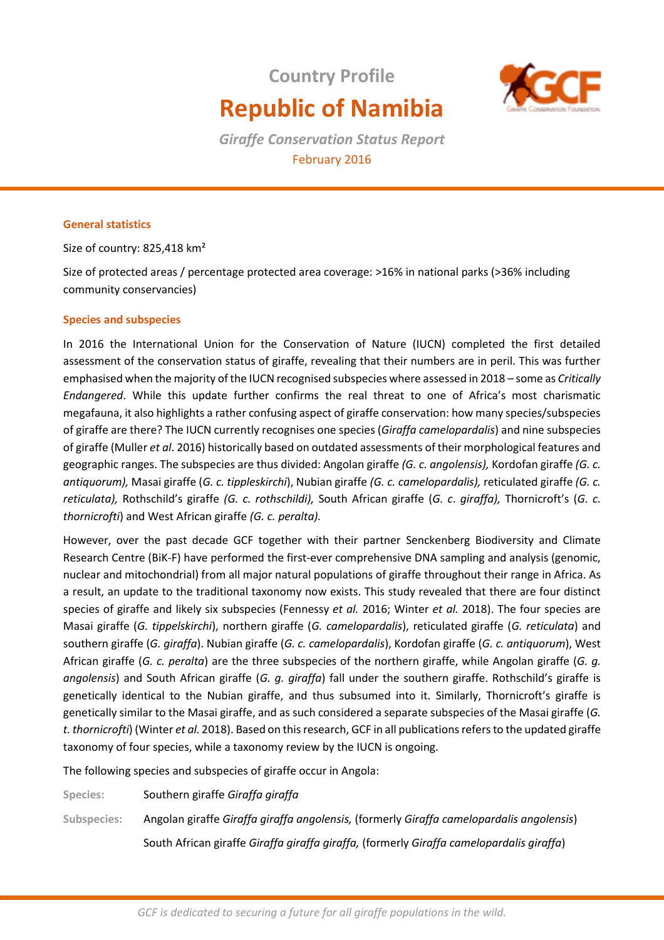# **Country Profile Republic of Namibia**



*Giraffe Conservation Status Report*  February 2016

# **General statistics**

Size of country: 825,418 km²

Size of protected areas / percentage protected area coverage: >16% in national parks (>36% including community conservancies)

# **Species and subspecies**

In 2016 the International Union for the Conservation of Nature (IUCN) completed the first detailed assessment of the conservation status of giraffe, revealing that their numbers are in peril. This was further emphasised when the majority of the IUCN recognised subspecies where assessed in 2018 – some as *Critically Endangered*. While this update further confirms the real threat to one of Africa's most charismatic megafauna, it also highlights a rather confusing aspect of giraffe conservation: how many species/subspecies of giraffe are there? The IUCN currently recognises one species (*Giraffa camelopardalis*) and nine subspecies of giraffe (Muller *et al*. 2016) historically based on outdated assessments of their morphological features and geographic ranges. The subspecies are thus divided: Angolan giraffe *(G. c. angolensis),* Kordofan giraffe *(G. c. antiquorum),* Masai giraffe (*G. c. tippleskirchi*), Nubian giraffe *(G. c. camelopardalis),* reticulated giraffe *(G. c. reticulata),* Rothschild's giraffe *(G. c. rothschildi),* South African giraffe (*G. c*. *giraffa),* Thornicroft's (*G. c. thornicrofti*) and West African giraffe *(G. c. peralta).* 

However, over the past decade GCF together with their partner Senckenberg Biodiversity and Climate Research Centre (BiK-F) have performed the first-ever comprehensive DNA sampling and analysis (genomic, nuclear and mitochondrial) from all major natural populations of giraffe throughout their range in Africa. As a result, an update to the traditional taxonomy now exists. This study revealed that there are four distinct species of giraffe and likely six subspecies (Fennessy *et al.* 2016; Winter *et al.* 2018). The four species are Masai giraffe (*G. tippelskirchi*), northern giraffe (*G. camelopardalis*), reticulated giraffe (*G. reticulata*) and southern giraffe (*G. giraffa*). Nubian giraffe (*G. c. camelopardalis*), Kordofan giraffe (*G. c. antiquorum*), West African giraffe (*G. c. peralta*) are the three subspecies of the northern giraffe, while Angolan giraffe (*G. g. angolensis*) and South African giraffe (*G. g. giraffa*) fall under the southern giraffe. Rothschild's giraffe is genetically identical to the Nubian giraffe, and thus subsumed into it. Similarly, Thornicroft's giraffe is genetically similar to the Masai giraffe, and as such considered a separate subspecies of the Masai giraffe (*G. t. thornicrofti*) (Winter *et al.* 2018). Based on this research, GCF in all publications refers to the updated giraffe taxonomy of four species, while a taxonomy review by the IUCN is ongoing.

The following species and subspecies of giraffe occur in Angola:

**Species:** Southern giraffe *Giraffa giraffa* 

**Subspecies:** Angolan giraffe *Giraffa giraffa angolensis,* (formerly *Giraffa camelopardalis angolensis*)

South African giraffe *Giraffa giraffa giraffa,* (formerly *Giraffa camelopardalis giraffa*)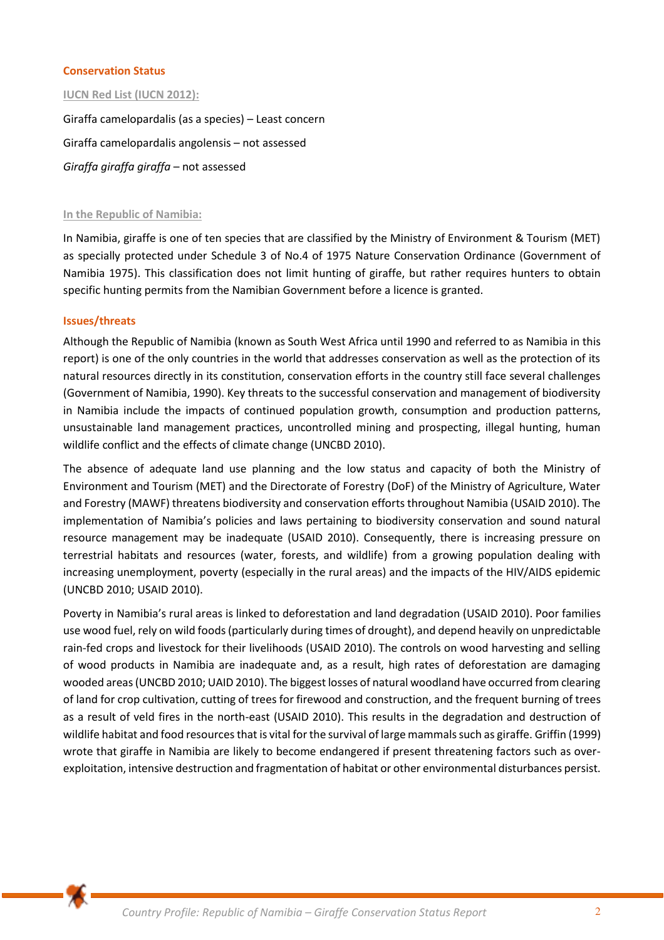## **Conservation Status**

#### **IUCN Red List (IUCN 2012):**

Giraffa camelopardalis (as a species) – Least concern Giraffa camelopardalis angolensis – not assessed *Giraffa giraffa giraffa* – not assessed

#### **In the Republic of Namibia:**

In Namibia, giraffe is one of ten species that are classified by the Ministry of Environment & Tourism (MET) as specially protected under Schedule 3 of No.4 of 1975 Nature Conservation Ordinance (Government of Namibia 1975). This classification does not limit hunting of giraffe, but rather requires hunters to obtain specific hunting permits from the Namibian Government before a licence is granted.

#### **Issues/threats**

Although the Republic of Namibia (known as South West Africa until 1990 and referred to as Namibia in this report) is one of the only countries in the world that addresses conservation as well as the protection of its natural resources directly in its constitution, conservation efforts in the country still face several challenges (Government of Namibia, 1990). Key threats to the successful conservation and management of biodiversity in Namibia include the impacts of continued population growth, consumption and production patterns, unsustainable land management practices, uncontrolled mining and prospecting, illegal hunting, human wildlife conflict and the effects of climate change (UNCBD 2010).

The absence of adequate land use planning and the low status and capacity of both the Ministry of Environment and Tourism (MET) and the Directorate of Forestry (DoF) of the Ministry of Agriculture, Water and Forestry (MAWF) threatens biodiversity and conservation efforts throughout Namibia (USAID 2010). The implementation of Namibia's policies and laws pertaining to biodiversity conservation and sound natural resource management may be inadequate (USAID 2010). Consequently, there is increasing pressure on terrestrial habitats and resources (water, forests, and wildlife) from a growing population dealing with increasing unemployment, poverty (especially in the rural areas) and the impacts of the HIV/AIDS epidemic (UNCBD 2010; USAID 2010).

Poverty in Namibia's rural areas is linked to deforestation and land degradation (USAID 2010). Poor families use wood fuel, rely on wild foods (particularly during times of drought), and depend heavily on unpredictable rain-fed crops and livestock for their livelihoods (USAID 2010). The controls on wood harvesting and selling of wood products in Namibia are inadequate and, as a result, high rates of deforestation are damaging wooded areas (UNCBD 2010; UAID 2010). The biggest losses of natural woodland have occurred from clearing of land for crop cultivation, cutting of trees for firewood and construction, and the frequent burning of trees as a result of veld fires in the north-east (USAID 2010). This results in the degradation and destruction of wildlife habitat and food resources that is vital for the survival of large mammals such as giraffe. Griffin (1999) wrote that giraffe in Namibia are likely to become endangered if present threatening factors such as overexploitation, intensive destruction and fragmentation of habitat or other environmental disturbances persist.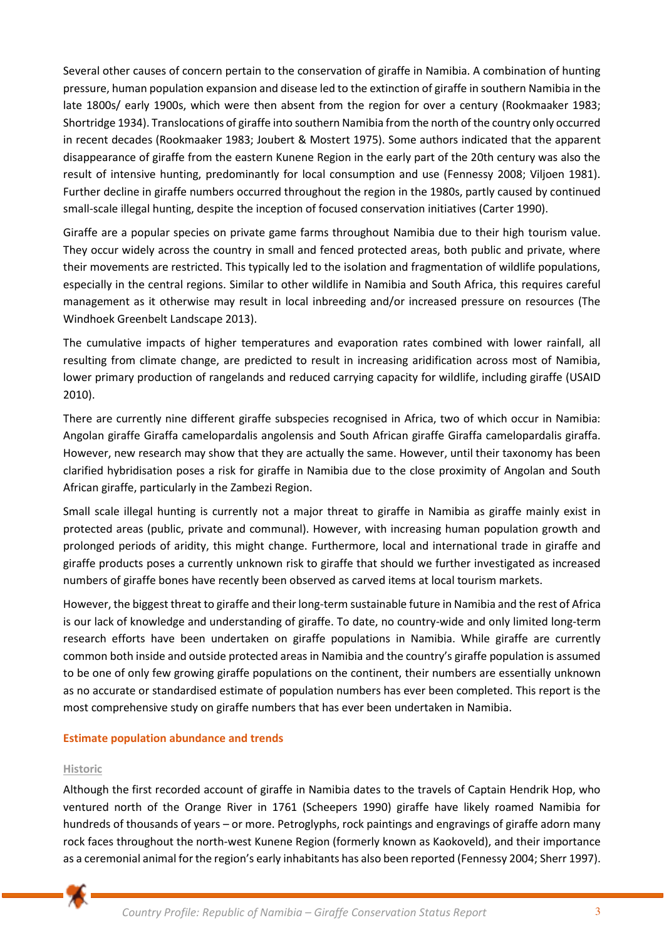Several other causes of concern pertain to the conservation of giraffe in Namibia. A combination of hunting pressure, human population expansion and disease led to the extinction of giraffe in southern Namibia in the late 1800s/ early 1900s, which were then absent from the region for over a century (Rookmaaker 1983; Shortridge 1934). Translocations of giraffe into southern Namibia from the north of the country only occurred in recent decades (Rookmaaker 1983; Joubert & Mostert 1975). Some authors indicated that the apparent disappearance of giraffe from the eastern Kunene Region in the early part of the 20th century was also the result of intensive hunting, predominantly for local consumption and use (Fennessy 2008; Viljoen 1981). Further decline in giraffe numbers occurred throughout the region in the 1980s, partly caused by continued small-scale illegal hunting, despite the inception of focused conservation initiatives (Carter 1990).

Giraffe are a popular species on private game farms throughout Namibia due to their high tourism value. They occur widely across the country in small and fenced protected areas, both public and private, where their movements are restricted. This typically led to the isolation and fragmentation of wildlife populations, especially in the central regions. Similar to other wildlife in Namibia and South Africa, this requires careful management as it otherwise may result in local inbreeding and/or increased pressure on resources (The Windhoek Greenbelt Landscape 2013).

The cumulative impacts of higher temperatures and evaporation rates combined with lower rainfall, all resulting from climate change, are predicted to result in increasing aridification across most of Namibia, lower primary production of rangelands and reduced carrying capacity for wildlife, including giraffe (USAID 2010).

There are currently nine different giraffe subspecies recognised in Africa, two of which occur in Namibia: Angolan giraffe Giraffa camelopardalis angolensis and South African giraffe Giraffa camelopardalis giraffa. However, new research may show that they are actually the same. However, until their taxonomy has been clarified hybridisation poses a risk for giraffe in Namibia due to the close proximity of Angolan and South African giraffe, particularly in the Zambezi Region.

Small scale illegal hunting is currently not a major threat to giraffe in Namibia as giraffe mainly exist in protected areas (public, private and communal). However, with increasing human population growth and prolonged periods of aridity, this might change. Furthermore, local and international trade in giraffe and giraffe products poses a currently unknown risk to giraffe that should we further investigated as increased numbers of giraffe bones have recently been observed as carved items at local tourism markets.

However, the biggest threat to giraffe and their long-term sustainable future in Namibia and the rest of Africa is our lack of knowledge and understanding of giraffe. To date, no country-wide and only limited long-term research efforts have been undertaken on giraffe populations in Namibia. While giraffe are currently common both inside and outside protected areas in Namibia and the country's giraffe population is assumed to be one of only few growing giraffe populations on the continent, their numbers are essentially unknown as no accurate or standardised estimate of population numbers has ever been completed. This report is the most comprehensive study on giraffe numbers that has ever been undertaken in Namibia.

# **Estimate population abundance and trends**

## **Historic**

Although the first recorded account of giraffe in Namibia dates to the travels of Captain Hendrik Hop, who ventured north of the Orange River in 1761 (Scheepers 1990) giraffe have likely roamed Namibia for hundreds of thousands of years – or more. Petroglyphs, rock paintings and engravings of giraffe adorn many rock faces throughout the north-west Kunene Region (formerly known as Kaokoveld), and their importance as a ceremonial animal for the region's early inhabitants has also been reported (Fennessy 2004; Sherr 1997).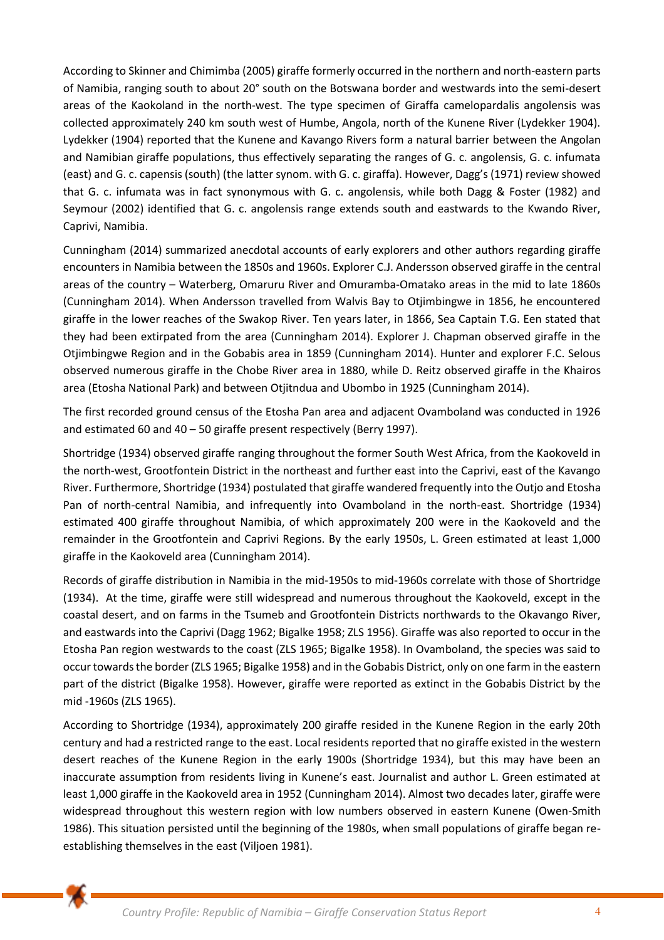According to Skinner and Chimimba (2005) giraffe formerly occurred in the northern and north-eastern parts of Namibia, ranging south to about 20° south on the Botswana border and westwards into the semi-desert areas of the Kaokoland in the north-west. The type specimen of Giraffa camelopardalis angolensis was collected approximately 240 km south west of Humbe, Angola, north of the Kunene River (Lydekker 1904). Lydekker (1904) reported that the Kunene and Kavango Rivers form a natural barrier between the Angolan and Namibian giraffe populations, thus effectively separating the ranges of G. c. angolensis, G. c. infumata (east) and G. c. capensis (south) (the latter synom. with G. c. giraffa). However, Dagg's (1971) review showed that G. c. infumata was in fact synonymous with G. c. angolensis, while both Dagg & Foster (1982) and Seymour (2002) identified that G. c. angolensis range extends south and eastwards to the Kwando River, Caprivi, Namibia.

Cunningham (2014) summarized anecdotal accounts of early explorers and other authors regarding giraffe encounters in Namibia between the 1850s and 1960s. Explorer C.J. Andersson observed giraffe in the central areas of the country – Waterberg, Omaruru River and Omuramba-Omatako areas in the mid to late 1860s (Cunningham 2014). When Andersson travelled from Walvis Bay to Otjimbingwe in 1856, he encountered giraffe in the lower reaches of the Swakop River. Ten years later, in 1866, Sea Captain T.G. Een stated that they had been extirpated from the area (Cunningham 2014). Explorer J. Chapman observed giraffe in the Otjimbingwe Region and in the Gobabis area in 1859 (Cunningham 2014). Hunter and explorer F.C. Selous observed numerous giraffe in the Chobe River area in 1880, while D. Reitz observed giraffe in the Khairos area (Etosha National Park) and between Otjitndua and Ubombo in 1925 (Cunningham 2014).

The first recorded ground census of the Etosha Pan area and adjacent Ovamboland was conducted in 1926 and estimated 60 and 40 – 50 giraffe present respectively (Berry 1997).

Shortridge (1934) observed giraffe ranging throughout the former South West Africa, from the Kaokoveld in the north-west, Grootfontein District in the northeast and further east into the Caprivi, east of the Kavango River. Furthermore, Shortridge (1934) postulated that giraffe wandered frequently into the Outjo and Etosha Pan of north-central Namibia, and infrequently into Ovamboland in the north-east. Shortridge (1934) estimated 400 giraffe throughout Namibia, of which approximately 200 were in the Kaokoveld and the remainder in the Grootfontein and Caprivi Regions. By the early 1950s, L. Green estimated at least 1,000 giraffe in the Kaokoveld area (Cunningham 2014).

Records of giraffe distribution in Namibia in the mid-1950s to mid-1960s correlate with those of Shortridge (1934). At the time, giraffe were still widespread and numerous throughout the Kaokoveld, except in the coastal desert, and on farms in the Tsumeb and Grootfontein Districts northwards to the Okavango River, and eastwards into the Caprivi (Dagg 1962; Bigalke 1958; ZLS 1956). Giraffe was also reported to occur in the Etosha Pan region westwards to the coast (ZLS 1965; Bigalke 1958). In Ovamboland, the species was said to occur towards the border (ZLS 1965; Bigalke 1958) and in the Gobabis District, only on one farm in the eastern part of the district (Bigalke 1958). However, giraffe were reported as extinct in the Gobabis District by the mid -1960s (ZLS 1965).

According to Shortridge (1934), approximately 200 giraffe resided in the Kunene Region in the early 20th century and had a restricted range to the east. Local residents reported that no giraffe existed in the western desert reaches of the Kunene Region in the early 1900s (Shortridge 1934), but this may have been an inaccurate assumption from residents living in Kunene's east. Journalist and author L. Green estimated at least 1,000 giraffe in the Kaokoveld area in 1952 (Cunningham 2014). Almost two decades later, giraffe were widespread throughout this western region with low numbers observed in eastern Kunene (Owen-Smith 1986). This situation persisted until the beginning of the 1980s, when small populations of giraffe began reestablishing themselves in the east (Viljoen 1981).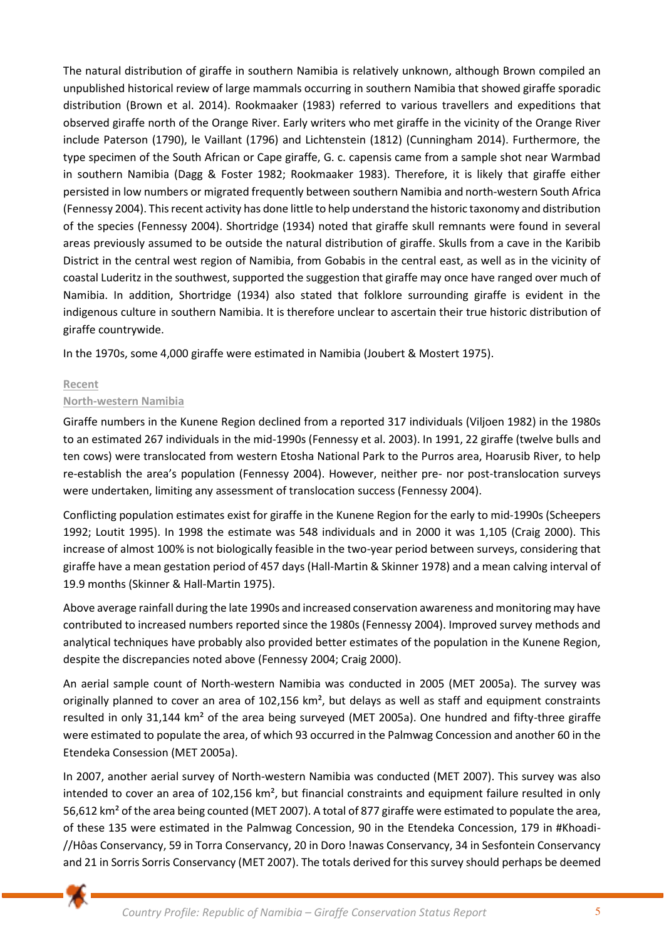The natural distribution of giraffe in southern Namibia is relatively unknown, although Brown compiled an unpublished historical review of large mammals occurring in southern Namibia that showed giraffe sporadic distribution (Brown et al. 2014). Rookmaaker (1983) referred to various travellers and expeditions that observed giraffe north of the Orange River. Early writers who met giraffe in the vicinity of the Orange River include Paterson (1790), le Vaillant (1796) and Lichtenstein (1812) (Cunningham 2014). Furthermore, the type specimen of the South African or Cape giraffe, G. c. capensis came from a sample shot near Warmbad in southern Namibia (Dagg & Foster 1982; Rookmaaker 1983). Therefore, it is likely that giraffe either persisted in low numbers or migrated frequently between southern Namibia and north-western South Africa (Fennessy 2004). This recent activity has done little to help understand the historic taxonomy and distribution of the species (Fennessy 2004). Shortridge (1934) noted that giraffe skull remnants were found in several areas previously assumed to be outside the natural distribution of giraffe. Skulls from a cave in the Karibib District in the central west region of Namibia, from Gobabis in the central east, as well as in the vicinity of coastal Luderitz in the southwest, supported the suggestion that giraffe may once have ranged over much of Namibia. In addition, Shortridge (1934) also stated that folklore surrounding giraffe is evident in the indigenous culture in southern Namibia. It is therefore unclear to ascertain their true historic distribution of giraffe countrywide.

In the 1970s, some 4,000 giraffe were estimated in Namibia (Joubert & Mostert 1975).

# **Recent**

# **North-western Namibia**

Giraffe numbers in the Kunene Region declined from a reported 317 individuals (Viljoen 1982) in the 1980s to an estimated 267 individuals in the mid-1990s (Fennessy et al. 2003). In 1991, 22 giraffe (twelve bulls and ten cows) were translocated from western Etosha National Park to the Purros area, Hoarusib River, to help re-establish the area's population (Fennessy 2004). However, neither pre- nor post-translocation surveys were undertaken, limiting any assessment of translocation success (Fennessy 2004).

Conflicting population estimates exist for giraffe in the Kunene Region for the early to mid-1990s (Scheepers 1992; Loutit 1995). In 1998 the estimate was 548 individuals and in 2000 it was 1,105 (Craig 2000). This increase of almost 100% is not biologically feasible in the two-year period between surveys, considering that giraffe have a mean gestation period of 457 days (Hall-Martin & Skinner 1978) and a mean calving interval of 19.9 months (Skinner & Hall-Martin 1975).

Above average rainfall during the late 1990s and increased conservation awareness and monitoring may have contributed to increased numbers reported since the 1980s (Fennessy 2004). Improved survey methods and analytical techniques have probably also provided better estimates of the population in the Kunene Region, despite the discrepancies noted above (Fennessy 2004; Craig 2000).

An aerial sample count of North-western Namibia was conducted in 2005 (MET 2005a). The survey was originally planned to cover an area of 102,156 km<sup>2</sup>, but delays as well as staff and equipment constraints resulted in only 31,144 km² of the area being surveyed (MET 2005a). One hundred and fifty-three giraffe were estimated to populate the area, of which 93 occurred in the Palmwag Concession and another 60 in the Etendeka Consession (MET 2005a).

In 2007, another aerial survey of North-western Namibia was conducted (MET 2007). This survey was also intended to cover an area of 102,156 km<sup>2</sup>, but financial constraints and equipment failure resulted in only 56,612 km² of the area being counted (MET 2007). A total of 877 giraffe were estimated to populate the area, of these 135 were estimated in the Palmwag Concession, 90 in the Etendeka Concession, 179 in #Khoadi- //Hôas Conservancy, 59 in Torra Conservancy, 20 in Doro !nawas Conservancy, 34 in Sesfontein Conservancy and 21 in Sorris Sorris Conservancy (MET 2007). The totals derived for this survey should perhaps be deemed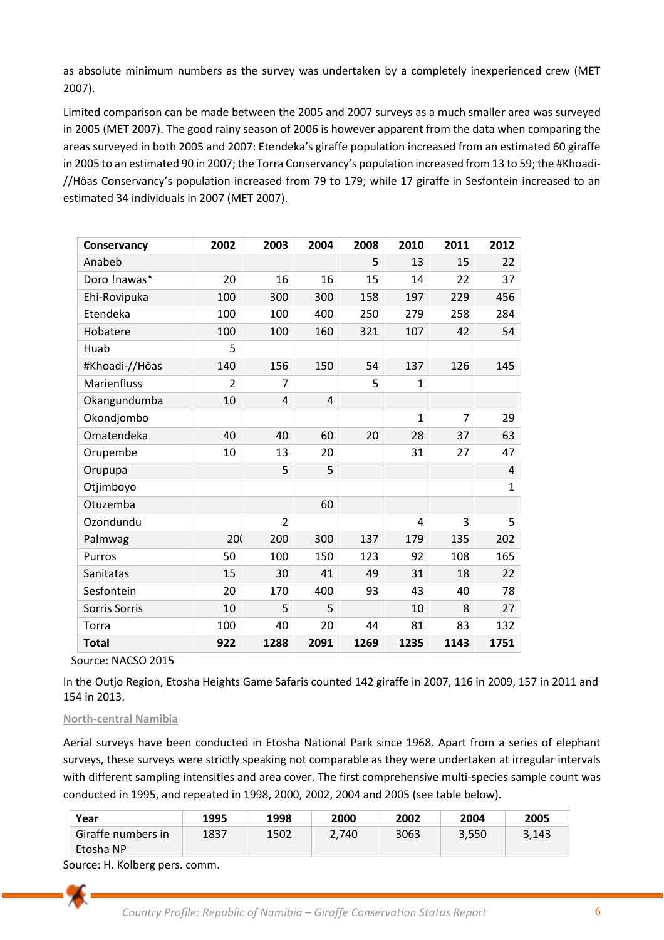as absolute minimum numbers as the survey was undertaken by a completely inexperienced crew (MET 2007).

Limited comparison can be made between the 2005 and 2007 surveys as a much smaller area was surveyed in 2005 (MET 2007). The good rainy season of 2006 is however apparent from the data when comparing the areas surveyed in both 2005 and 2007: Etendeka's giraffe population increased from an estimated 60 giraffe in 2005 to an estimated 90 in 2007; the Torra Conservancy's population increased from 13 to 59; the #Khoadi- //Hôas Conservancy's population increased from 79 to 179; while 17 giraffe in Sesfontein increased to an estimated 34 individuals in 2007 (MET 2007).

| Conservancy    | 2002           | 2003           | 2004           | 2008 | 2010           | 2011           | 2012         |
|----------------|----------------|----------------|----------------|------|----------------|----------------|--------------|
| Anabeb         |                |                |                | 5    | 13             | 15             | 22           |
| Doro !nawas*   | 20             | 16             | 16             | 15   | 14             | 22             | 37           |
| Ehi-Rovipuka   | 100            | 300            | 300            | 158  | 197            | 229            | 456          |
| Etendeka       | 100            | 100            | 400            | 250  | 279            | 258            | 284          |
| Hobatere       | 100            | 100            | 160            | 321  | 107            | 42             | 54           |
| Huab           | 5              |                |                |      |                |                |              |
| #Khoadi-//Hôas | 140            | 156            | 150            | 54   | 137            | 126            | 145          |
| Marienfluss    | $\overline{2}$ | $\overline{7}$ |                | 5    | $\mathbf{1}$   |                |              |
| Okangundumba   | 10             | $\overline{4}$ | $\overline{4}$ |      |                |                |              |
| Okondjombo     |                |                |                |      | $\mathbf{1}$   | $\overline{7}$ | 29           |
| Omatendeka     | 40             | 40             | 60             | 20   | 28             | 37             | 63           |
| Orupembe       | 10             | 13             | 20             |      | 31             | 27             | 47           |
| Orupupa        |                | 5              | 5              |      |                |                | 4            |
| Otjimboyo      |                |                |                |      |                |                | $\mathbf{1}$ |
| Otuzemba       |                |                | 60             |      |                |                |              |
| Ozondundu      |                | $\overline{2}$ |                |      | $\overline{4}$ | 3              | 5            |
| Palmwag        | 20             | 200            | 300            | 137  | 179            | 135            | 202          |
| Purros         | 50             | 100            | 150            | 123  | 92             | 108            | 165          |
| Sanitatas      | 15             | 30             | 41             | 49   | 31             | 18             | 22           |
| Sesfontein     | 20             | 170            | 400            | 93   | 43             | 40             | 78           |
| Sorris Sorris  | 10             | 5              | 5              |      | 10             | 8              | 27           |
| Torra          | 100            | 40             | 20             | 44   | 81             | 83             | 132          |
| <b>Total</b>   | 922            | 1288           | 2091           | 1269 | 1235           | 1143           | 1751         |

Source: NACSO 2015

In the Outjo Region, Etosha Heights Game Safaris counted 142 giraffe in 2007, 116 in 2009, 157 in 2011 and 154 in 2013.

## **North-central Namibia**

Aerial surveys have been conducted in Etosha National Park since 1968. Apart from a series of elephant surveys, these surveys were strictly speaking not comparable as they were undertaken at irregular intervals with different sampling intensities and area cover. The first comprehensive multi-species sample count was conducted in 1995, and repeated in 1998, 2000, 2002, 2004 and 2005 (see table below).

| Year               | 1995 | 1998 | 2000  | 2002 | 2004  | 2005  |
|--------------------|------|------|-------|------|-------|-------|
| Giraffe numbers in | 1837 | 1502 | 2.740 | 3063 | 3,550 | 3,143 |
| Etosha NP          |      |      |       |      |       |       |

Source: H. Kolberg pers. comm.

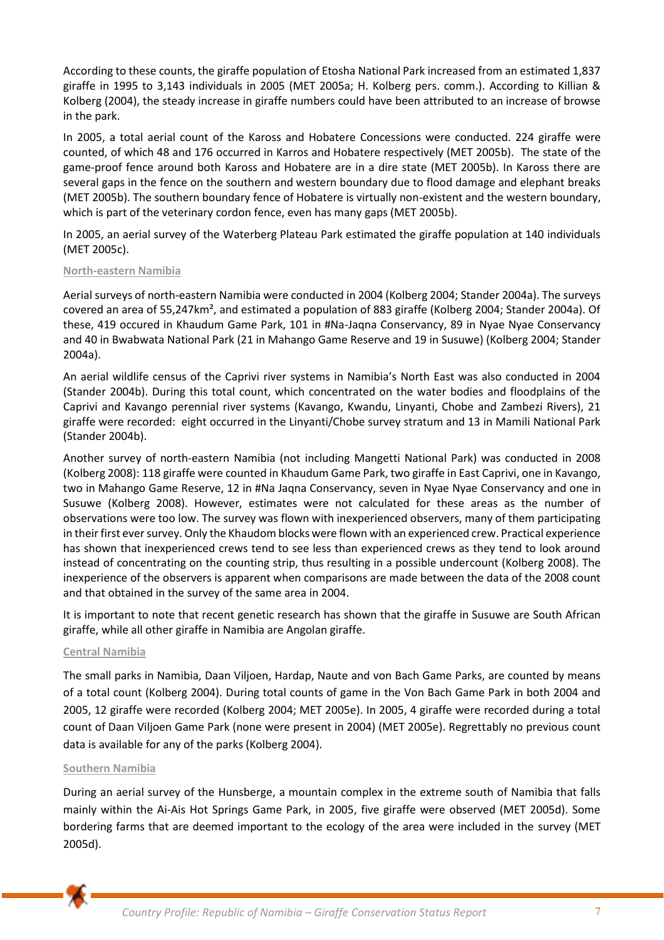According to these counts, the giraffe population of Etosha National Park increased from an estimated 1,837 giraffe in 1995 to 3,143 individuals in 2005 (MET 2005a; H. Kolberg pers. comm.). According to Killian & Kolberg (2004), the steady increase in giraffe numbers could have been attributed to an increase of browse in the park.

In 2005, a total aerial count of the Kaross and Hobatere Concessions were conducted. 224 giraffe were counted, of which 48 and 176 occurred in Karros and Hobatere respectively (MET 2005b). The state of the game-proof fence around both Kaross and Hobatere are in a dire state (MET 2005b). In Kaross there are several gaps in the fence on the southern and western boundary due to flood damage and elephant breaks (MET 2005b). The southern boundary fence of Hobatere is virtually non-existent and the western boundary, which is part of the veterinary cordon fence, even has many gaps (MET 2005b).

In 2005, an aerial survey of the Waterberg Plateau Park estimated the giraffe population at 140 individuals (MET 2005c).

## **North-eastern Namibia**

Aerial surveys of north-eastern Namibia were conducted in 2004 (Kolberg 2004; Stander 2004a). The surveys covered an area of 55,247km², and estimated a population of 883 giraffe (Kolberg 2004; Stander 2004a). Of these, 419 occured in Khaudum Game Park, 101 in #Na-Jaqna Conservancy, 89 in Nyae Nyae Conservancy and 40 in Bwabwata National Park (21 in Mahango Game Reserve and 19 in Susuwe) (Kolberg 2004; Stander 2004a).

An aerial wildlife census of the Caprivi river systems in Namibia's North East was also conducted in 2004 (Stander 2004b). During this total count, which concentrated on the water bodies and floodplains of the Caprivi and Kavango perennial river systems (Kavango, Kwandu, Linyanti, Chobe and Zambezi Rivers), 21 giraffe were recorded: eight occurred in the Linyanti/Chobe survey stratum and 13 in Mamili National Park (Stander 2004b).

Another survey of north-eastern Namibia (not including Mangetti National Park) was conducted in 2008 (Kolberg 2008): 118 giraffe were counted in Khaudum Game Park, two giraffe in East Caprivi, one in Kavango, two in Mahango Game Reserve, 12 in #Na Jaqna Conservancy, seven in Nyae Nyae Conservancy and one in Susuwe (Kolberg 2008). However, estimates were not calculated for these areas as the number of observations were too low. The survey was flown with inexperienced observers, many of them participating in their first ever survey. Only the Khaudom blocks were flown with an experienced crew. Practical experience has shown that inexperienced crews tend to see less than experienced crews as they tend to look around instead of concentrating on the counting strip, thus resulting in a possible undercount (Kolberg 2008). The inexperience of the observers is apparent when comparisons are made between the data of the 2008 count and that obtained in the survey of the same area in 2004.

It is important to note that recent genetic research has shown that the giraffe in Susuwe are South African giraffe, while all other giraffe in Namibia are Angolan giraffe.

## **Central Namibia**

The small parks in Namibia, Daan Viljoen, Hardap, Naute and von Bach Game Parks, are counted by means of a total count (Kolberg 2004). During total counts of game in the Von Bach Game Park in both 2004 and 2005, 12 giraffe were recorded (Kolberg 2004; MET 2005e). In 2005, 4 giraffe were recorded during a total count of Daan Viljoen Game Park (none were present in 2004) (MET 2005e). Regrettably no previous count data is available for any of the parks (Kolberg 2004).

## **Southern Namibia**

During an aerial survey of the Hunsberge, a mountain complex in the extreme south of Namibia that falls mainly within the Ai-Ais Hot Springs Game Park, in 2005, five giraffe were observed (MET 2005d). Some bordering farms that are deemed important to the ecology of the area were included in the survey (MET 2005d).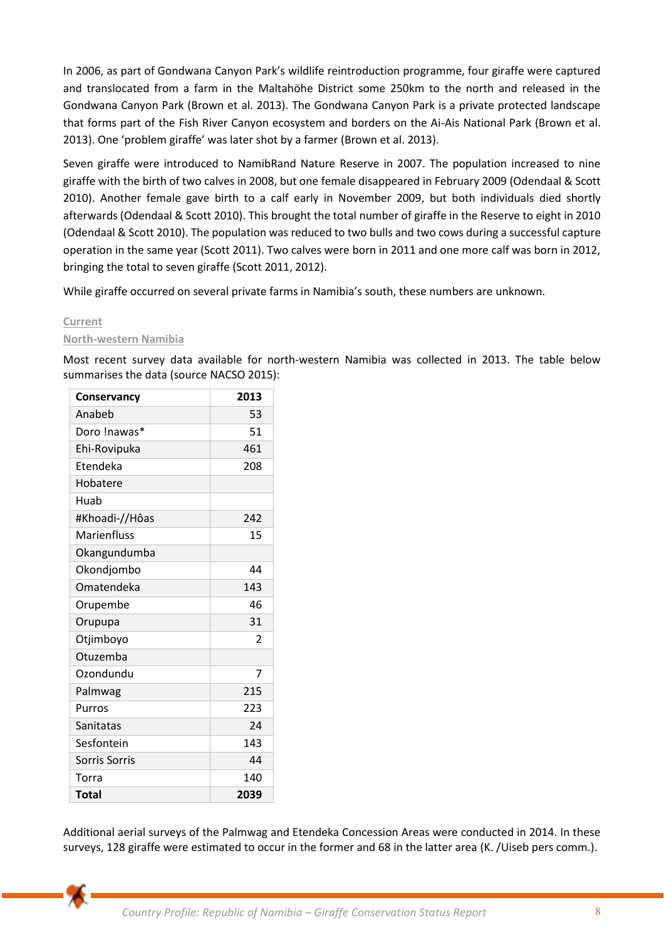In 2006, as part of Gondwana Canyon Park's wildlife reintroduction programme, four giraffe were captured and translocated from a farm in the Maltahöhe District some 250km to the north and released in the Gondwana Canyon Park (Brown et al. 2013). The Gondwana Canyon Park is a private protected landscape that forms part of the Fish River Canyon ecosystem and borders on the Ai-Ais National Park (Brown et al. 2013). One 'problem giraffe' was later shot by a farmer (Brown et al. 2013).

Seven giraffe were introduced to NamibRand Nature Reserve in 2007. The population increased to nine giraffe with the birth of two calves in 2008, but one female disappeared in February 2009 (Odendaal & Scott 2010). Another female gave birth to a calf early in November 2009, but both individuals died shortly afterwards (Odendaal & Scott 2010). This brought the total number of giraffe in the Reserve to eight in 2010 (Odendaal & Scott 2010). The population was reduced to two bulls and two cows during a successful capture operation in the same year (Scott 2011). Two calves were born in 2011 and one more calf was born in 2012, bringing the total to seven giraffe (Scott 2011, 2012).

While giraffe occurred on several private farms in Namibia's south, these numbers are unknown.

# **Current**

# **North-western Namibia**

Most recent survey data available for north-western Namibia was collected in 2013. The table below summarises the data (source NACSO 2015):

| Conservancy    | 2013 |
|----------------|------|
| Anabeb         | 53   |
| Doro !nawas*   | 51   |
| Ehi-Rovipuka   | 461  |
| Etendeka       | 208  |
| Hobatere       |      |
| Huab           |      |
| #Khoadi-//Hôas | 242  |
| Marienfluss    | 15   |
| Okangundumba   |      |
| Okondjombo     | 44   |
| Omatendeka     | 143  |
| Orupembe       | 46   |
| Orupupa        | 31   |
| Otjimboyo      | 2    |
| Otuzemba       |      |
| Ozondundu      | 7    |
| Palmwag        | 215  |
| Purros         | 223  |
| Sanitatas      | 24   |
| Sesfontein     | 143  |
| Sorris Sorris  | 44   |
| Torra          | 140  |
| <b>Total</b>   | 2039 |

Additional aerial surveys of the Palmwag and Etendeka Concession Areas were conducted in 2014. In these surveys, 128 giraffe were estimated to occur in the former and 68 in the latter area (K. /Uiseb pers comm.).

*Country Profile: Republic of Namibia – Giraffe Conservation Status Report* 8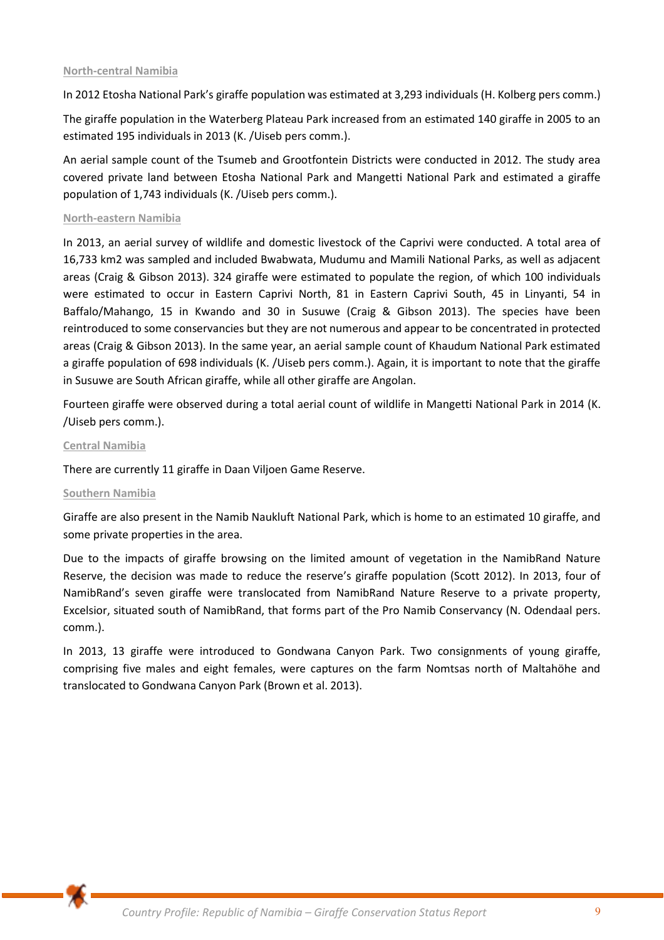## **North-central Namibia**

In 2012 Etosha National Park's giraffe population was estimated at 3,293 individuals (H. Kolberg pers comm.)

The giraffe population in the Waterberg Plateau Park increased from an estimated 140 giraffe in 2005 to an estimated 195 individuals in 2013 (K. /Uiseb pers comm.).

An aerial sample count of the Tsumeb and Grootfontein Districts were conducted in 2012. The study area covered private land between Etosha National Park and Mangetti National Park and estimated a giraffe population of 1,743 individuals (K. /Uiseb pers comm.).

### **North-eastern Namibia**

In 2013, an aerial survey of wildlife and domestic livestock of the Caprivi were conducted. A total area of 16,733 km2 was sampled and included Bwabwata, Mudumu and Mamili National Parks, as well as adjacent areas (Craig & Gibson 2013). 324 giraffe were estimated to populate the region, of which 100 individuals were estimated to occur in Eastern Caprivi North, 81 in Eastern Caprivi South, 45 in Linyanti, 54 in Baffalo/Mahango, 15 in Kwando and 30 in Susuwe (Craig & Gibson 2013). The species have been reintroduced to some conservancies but they are not numerous and appear to be concentrated in protected areas (Craig & Gibson 2013). In the same year, an aerial sample count of Khaudum National Park estimated a giraffe population of 698 individuals (K. /Uiseb pers comm.). Again, it is important to note that the giraffe in Susuwe are South African giraffe, while all other giraffe are Angolan.

Fourteen giraffe were observed during a total aerial count of wildlife in Mangetti National Park in 2014 (K. /Uiseb pers comm.).

#### **Central Namibia**

There are currently 11 giraffe in Daan Viljoen Game Reserve.

## **Southern Namibia**

Giraffe are also present in the Namib Naukluft National Park, which is home to an estimated 10 giraffe, and some private properties in the area.

Due to the impacts of giraffe browsing on the limited amount of vegetation in the NamibRand Nature Reserve, the decision was made to reduce the reserve's giraffe population (Scott 2012). In 2013, four of NamibRand's seven giraffe were translocated from NamibRand Nature Reserve to a private property, Excelsior, situated south of NamibRand, that forms part of the Pro Namib Conservancy (N. Odendaal pers. comm.).

In 2013, 13 giraffe were introduced to Gondwana Canyon Park. Two consignments of young giraffe, comprising five males and eight females, were captures on the farm Nomtsas north of Maltahöhe and translocated to Gondwana Canyon Park (Brown et al. 2013).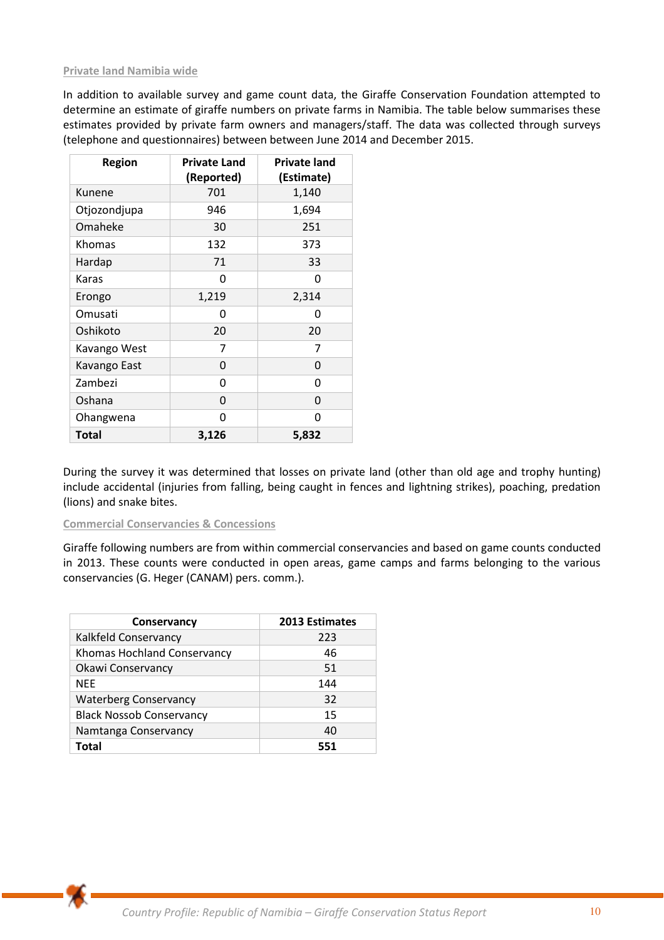## **Private land Namibia wide**

In addition to available survey and game count data, the Giraffe Conservation Foundation attempted to determine an estimate of giraffe numbers on private farms in Namibia. The table below summarises these estimates provided by private farm owners and managers/staff. The data was collected through surveys (telephone and questionnaires) between between June 2014 and December 2015.

| Region       | <b>Private Land</b><br>(Reported) | <b>Private land</b><br>(Estimate) |
|--------------|-----------------------------------|-----------------------------------|
| Kunene       | 701                               | 1,140                             |
| Otjozondjupa | 946                               | 1,694                             |
| Omaheke      | 30                                | 251                               |
| Khomas       | 132                               | 373                               |
| Hardap       | 71                                | 33                                |
| Karas        | 0                                 | 0                                 |
| Erongo       | 1,219                             | 2,314                             |
| Omusati      | O                                 | 0                                 |
| Oshikoto     | 20                                | 20                                |
| Kavango West | 7                                 | 7                                 |
| Kavango East | 0                                 | 0                                 |
| Zambezi      | 0                                 | 0                                 |
| Oshana       | 0                                 | 0                                 |
| Ohangwena    | 0                                 | 0                                 |
| <b>Total</b> | 3,126                             | 5,832                             |

During the survey it was determined that losses on private land (other than old age and trophy hunting) include accidental (injuries from falling, being caught in fences and lightning strikes), poaching, predation (lions) and snake bites.

#### **Commercial Conservancies & Concessions**

Giraffe following numbers are from within commercial conservancies and based on game counts conducted in 2013. These counts were conducted in open areas, game camps and farms belonging to the various conservancies (G. Heger (CANAM) pers. comm.).

| Conservancy                     | <b>2013 Estimates</b> |
|---------------------------------|-----------------------|
| Kalkfeld Conservancy            | 223                   |
| Khomas Hochland Conservancy     | 46                    |
| Okawi Conservancy               | 51                    |
| <b>NEE</b>                      | 144                   |
| <b>Waterberg Conservancy</b>    | 32                    |
| <b>Black Nossob Conservancy</b> | 15                    |
| Namtanga Conservancy            | 40                    |
| Total                           | 551                   |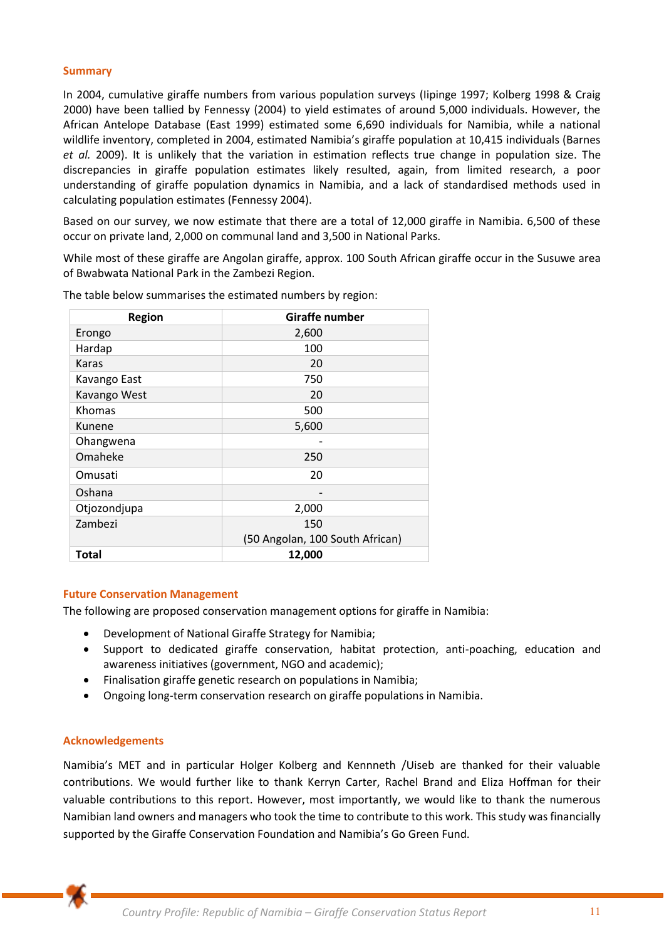### **Summary**

In 2004, cumulative giraffe numbers from various population surveys (Iipinge 1997; Kolberg 1998 & Craig 2000) have been tallied by Fennessy (2004) to yield estimates of around 5,000 individuals. However, the African Antelope Database (East 1999) estimated some 6,690 individuals for Namibia, while a national wildlife inventory, completed in 2004, estimated Namibia's giraffe population at 10,415 individuals (Barnes *et al.* 2009). It is unlikely that the variation in estimation reflects true change in population size. The discrepancies in giraffe population estimates likely resulted, again, from limited research, a poor understanding of giraffe population dynamics in Namibia, and a lack of standardised methods used in calculating population estimates (Fennessy 2004).

Based on our survey, we now estimate that there are a total of 12,000 giraffe in Namibia. 6,500 of these occur on private land, 2,000 on communal land and 3,500 in National Parks.

While most of these giraffe are Angolan giraffe, approx. 100 South African giraffe occur in the Susuwe area of Bwabwata National Park in the Zambezi Region.

| <b>Region</b> | Giraffe number                  |  |
|---------------|---------------------------------|--|
| Erongo        | 2,600                           |  |
| Hardap        | 100                             |  |
| Karas         | 20                              |  |
| Kavango East  | 750                             |  |
| Kavango West  | 20                              |  |
| Khomas        | 500                             |  |
| Kunene        | 5,600                           |  |
| Ohangwena     |                                 |  |
| Omaheke       | 250                             |  |
| Omusati       | 20                              |  |
| Oshana        |                                 |  |
| Otjozondjupa  | 2,000                           |  |
| Zambezi       | 150                             |  |
|               | (50 Angolan, 100 South African) |  |
| Total         | 12,000                          |  |

The table below summarises the estimated numbers by region:

#### **Future Conservation Management**

The following are proposed conservation management options for giraffe in Namibia:

- Development of National Giraffe Strategy for Namibia;
- Support to dedicated giraffe conservation, habitat protection, anti-poaching, education and awareness initiatives (government, NGO and academic);
- Finalisation giraffe genetic research on populations in Namibia;
- Ongoing long-term conservation research on giraffe populations in Namibia.

#### **Acknowledgements**

Namibia's MET and in particular Holger Kolberg and Kennneth /Uiseb are thanked for their valuable contributions. We would further like to thank Kerryn Carter, Rachel Brand and Eliza Hoffman for their valuable contributions to this report. However, most importantly, we would like to thank the numerous Namibian land owners and managers who took the time to contribute to this work. This study was financially supported by the Giraffe Conservation Foundation and Namibia's Go Green Fund.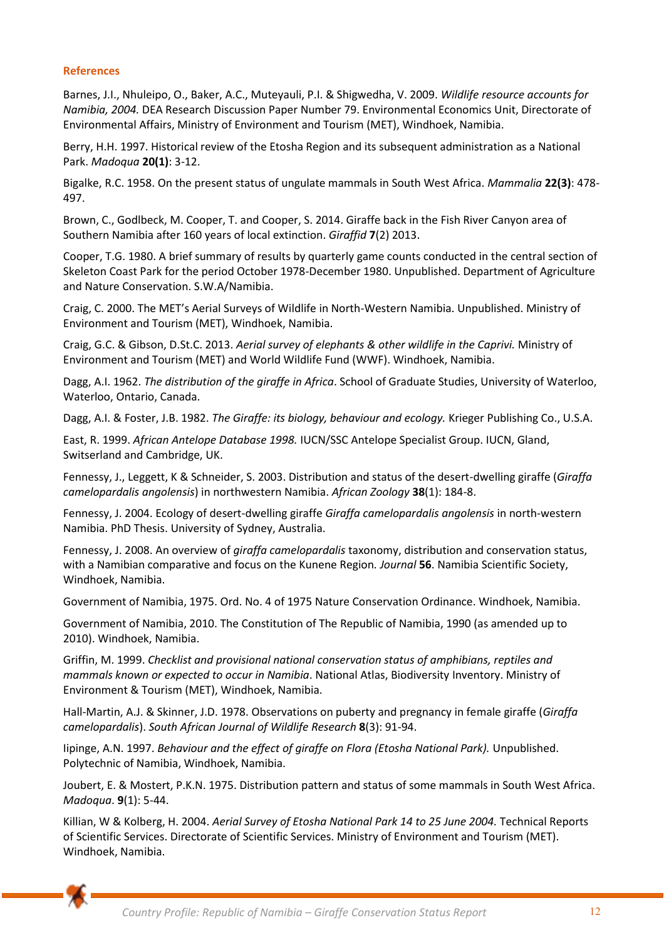## **References**

Barnes, J.I., Nhuleipo, O., Baker, A.C., Muteyauli, P.I. & Shigwedha, V. 2009. *Wildlife resource accounts for Namibia, 2004.* DEA Research Discussion Paper Number 79. Environmental Economics Unit, Directorate of Environmental Affairs, Ministry of Environment and Tourism (MET), Windhoek, Namibia.

Berry, H.H. 1997. Historical review of the Etosha Region and its subsequent administration as a National Park. *Madoqua* **20(1)**: 3-12.

Bigalke, R.C. 1958. On the present status of ungulate mammals in South West Africa. *Mammalia* **22(3)**: 478- 497.

Brown, C., Godlbeck, M. Cooper, T. and Cooper, S. 2014. Giraffe back in the Fish River Canyon area of Southern Namibia after 160 years of local extinction. *Giraffid* **7**(2) 2013.

Cooper, T.G. 1980. A brief summary of results by quarterly game counts conducted in the central section of Skeleton Coast Park for the period October 1978-December 1980. Unpublished. Department of Agriculture and Nature Conservation. S.W.A/Namibia.

Craig, C. 2000. The MET's Aerial Surveys of Wildlife in North-Western Namibia. Unpublished. Ministry of Environment and Tourism (MET), Windhoek, Namibia.

Craig, G.C. & Gibson, D.St.C. 2013. *Aerial survey of elephants & other wildlife in the Caprivi.* Ministry of Environment and Tourism (MET) and World Wildlife Fund (WWF). Windhoek, Namibia.

Dagg, A.I. 1962. *The distribution of the giraffe in Africa*. School of Graduate Studies, University of Waterloo, Waterloo, Ontario, Canada.

Dagg, A.I. & Foster, J.B. 1982. *The Giraffe: its biology, behaviour and ecology.* Krieger Publishing Co., U.S.A.

East, R. 1999. *African Antelope Database 1998.* IUCN/SSC Antelope Specialist Group. IUCN, Gland, Switserland and Cambridge, UK.

Fennessy, J., Leggett, K & Schneider, S. 2003. Distribution and status of the desert-dwelling giraffe (*Giraffa camelopardalis angolensis*) in northwestern Namibia. *African Zoology* **38**(1): 184-8.

Fennessy, J. 2004. Ecology of desert-dwelling giraffe *Giraffa camelopardalis angolensis* in north-western Namibia. PhD Thesis. University of Sydney, Australia.

Fennessy, J. 2008. An overview of *giraffa camelopardalis* taxonomy, distribution and conservation status, with a Namibian comparative and focus on the Kunene Region*. Journal* **56**. Namibia Scientific Society, Windhoek, Namibia.

Government of Namibia, 1975. Ord. No. 4 of 1975 Nature Conservation Ordinance. Windhoek, Namibia.

Government of Namibia, 2010. The Constitution of The Republic of Namibia, 1990 (as amended up to 2010). Windhoek, Namibia.

Griffin, M. 1999. *Checklist and provisional national conservation status of amphibians, reptiles and mammals known or expected to occur in Namibia*. National Atlas, Biodiversity Inventory. Ministry of Environment & Tourism (MET), Windhoek, Namibia.

Hall-Martin, A.J. & Skinner, J.D. 1978. Observations on puberty and pregnancy in female giraffe (*Giraffa camelopardalis*). *South African Journal of Wildlife Research* **8**(3): 91-94.

Iipinge, A.N. 1997. *Behaviour and the effect of giraffe on Flora (Etosha National Park).* Unpublished. Polytechnic of Namibia, Windhoek, Namibia.

Joubert, E. & Mostert, P.K.N. 1975. Distribution pattern and status of some mammals in South West Africa. *Madoqua*. **9**(1): 5-44.

Killian, W & Kolberg, H. 2004. *Aerial Survey of Etosha National Park 14 to 25 June 2004.* Technical Reports of Scientific Services. Directorate of Scientific Services. Ministry of Environment and Tourism (MET). Windhoek, Namibia.

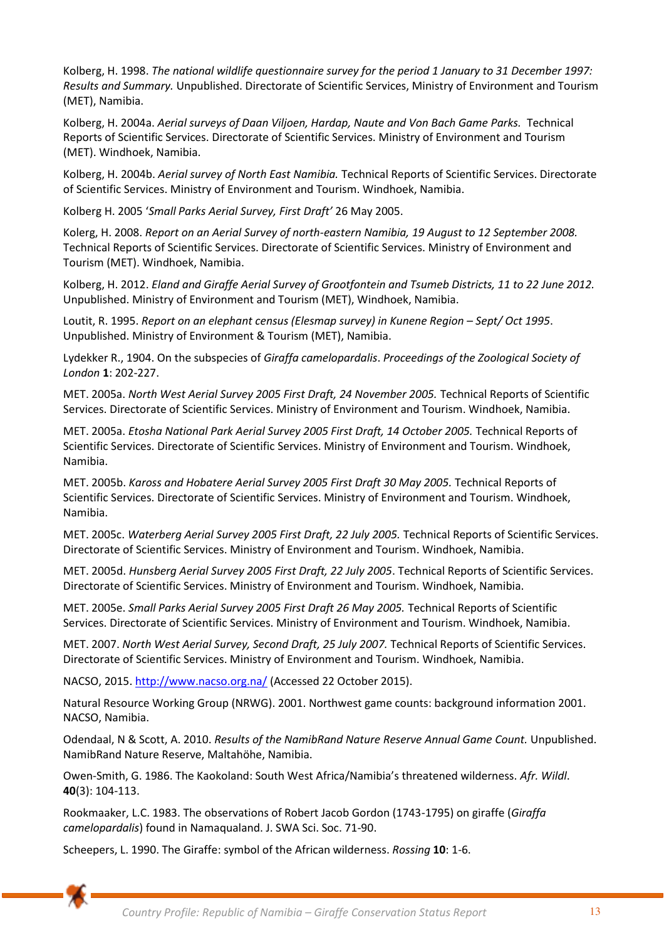Kolberg, H. 1998. *The national wildlife questionnaire survey for the period 1 January to 31 December 1997: Results and Summary.* Unpublished. Directorate of Scientific Services, Ministry of Environment and Tourism (MET), Namibia.

Kolberg, H. 2004a. *Aerial surveys of Daan Viljoen, Hardap, Naute and Von Bach Game Parks.* Technical Reports of Scientific Services. Directorate of Scientific Services. Ministry of Environment and Tourism (MET). Windhoek, Namibia.

Kolberg, H. 2004b. *Aerial survey of North East Namibia.* Technical Reports of Scientific Services. Directorate of Scientific Services. Ministry of Environment and Tourism. Windhoek, Namibia.

Kolberg H. 2005 '*Small Parks Aerial Survey, First Draft'* 26 May 2005.

Kolerg, H. 2008. *Report on an Aerial Survey of north-eastern Namibia, 19 August to 12 September 2008.* Technical Reports of Scientific Services. Directorate of Scientific Services. Ministry of Environment and Tourism (MET). Windhoek, Namibia.

Kolberg, H. 2012. *Eland and Giraffe Aerial Survey of Grootfontein and Tsumeb Districts, 11 to 22 June 2012.* Unpublished. Ministry of Environment and Tourism (MET), Windhoek, Namibia.

Loutit, R. 1995. *Report on an elephant census (Elesmap survey) in Kunene Region - Sept/ Oct 1995.* Unpublished. Ministry of Environment & Tourism (MET), Namibia.

Lydekker R., 1904. On the subspecies of *Giraffa camelopardalis*. *Proceedings of the Zoological Society of London* **1**: 202-227.

MET. 2005a. *North West Aerial Survey 2005 First Draft, 24 November 2005.* Technical Reports of Scientific Services. Directorate of Scientific Services. Ministry of Environment and Tourism. Windhoek, Namibia.

MET. 2005a. *Etosha National Park Aerial Survey 2005 First Draft, 14 October 2005.* Technical Reports of Scientific Services. Directorate of Scientific Services. Ministry of Environment and Tourism. Windhoek, Namibia.

MET. 2005b. *Kaross and Hobatere Aerial Survey 2005 First Draft 30 May 2005.* Technical Reports of Scientific Services. Directorate of Scientific Services. Ministry of Environment and Tourism. Windhoek, Namibia.

MET. 2005c. *Waterberg Aerial Survey 2005 First Draft, 22 July 2005.* Technical Reports of Scientific Services. Directorate of Scientific Services. Ministry of Environment and Tourism. Windhoek, Namibia.

MET. 2005d. *Hunsberg Aerial Survey 2005 First Draft, 22 July 2005*. Technical Reports of Scientific Services. Directorate of Scientific Services. Ministry of Environment and Tourism. Windhoek, Namibia.

MET. 2005e. *Small Parks Aerial Survey 2005 First Draft 26 May 2005.* Technical Reports of Scientific Services. Directorate of Scientific Services. Ministry of Environment and Tourism. Windhoek, Namibia.

MET. 2007. *North West Aerial Survey, Second Draft, 25 July 2007.* Technical Reports of Scientific Services. Directorate of Scientific Services. Ministry of Environment and Tourism. Windhoek, Namibia.

NACSO, 2015. [http://www.nacso.org.na/ \(](http://www.nacso.org.na/)Accessed 22 October 2015).

Natural Resource Working Group (NRWG). 2001. Northwest game counts: background information 2001. NACSO, Namibia.

Odendaal, N & Scott, A. 2010. *Results of the NamibRand Nature Reserve Annual Game Count.* Unpublished. NamibRand Nature Reserve, Maltahöhe, Namibia.

Owen-Smith, G. 1986. The Kaokoland: South West Africa/Namibia's threatened wilderness. *Afr. Wildl*. **40**(3): 104-113.

Rookmaaker, L.C. 1983. The observations of Robert Jacob Gordon (1743-1795) on giraffe (*Giraffa camelopardalis*) found in Namaqualand. J. SWA Sci. Soc. 71-90.

Scheepers, L. 1990. The Giraffe: symbol of the African wilderness. *Rossing* **10**: 1-6.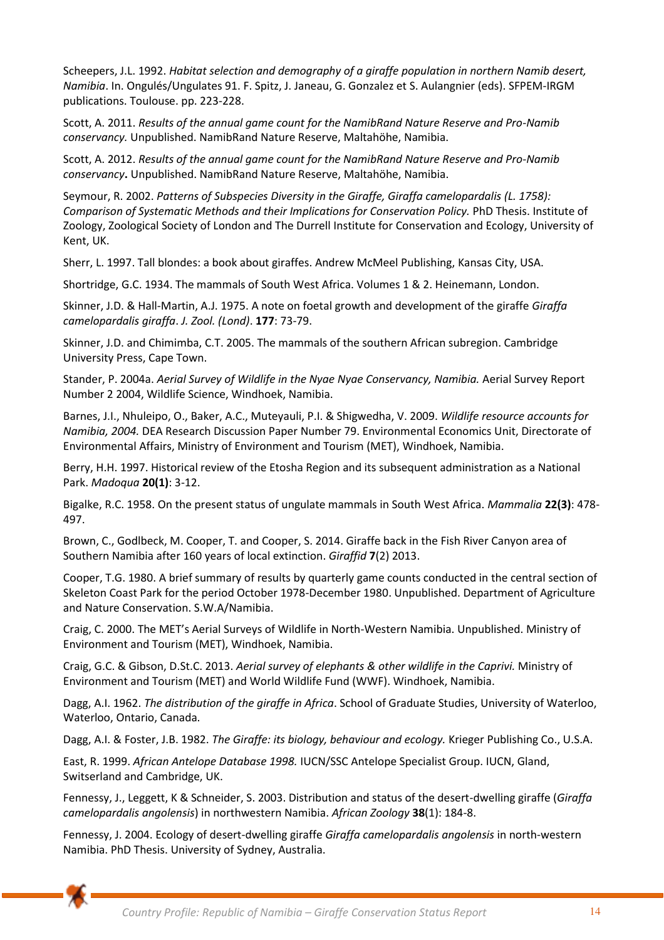Scheepers, J.L. 1992. *Habitat selection and demography of a giraffe population in northern Namib desert, Namibia*. In. Ongulés/Ungulates 91. F. Spitz, J. Janeau, G. Gonzalez et S. Aulangnier (eds). SFPEM-IRGM publications. Toulouse. pp. 223-228.

Scott, A. 2011. *Results of the annual game count for the NamibRand Nature Reserve and Pro-Namib conservancy.* Unpublished. NamibRand Nature Reserve, Maltahöhe, Namibia.

Scott, A. 2012. *Results of the annual game count for the NamibRand Nature Reserve and Pro-Namib conservancy***.** Unpublished. NamibRand Nature Reserve, Maltahöhe, Namibia.

Seymour, R. 2002. *Patterns of Subspecies Diversity in the Giraffe, Giraffa camelopardalis (L. 1758): Comparison of Systematic Methods and their Implications for Conservation Policy.* PhD Thesis. Institute of Zoology, Zoological Society of London and The Durrell Institute for Conservation and Ecology, University of Kent, UK.

Sherr, L. 1997. Tall blondes: a book about giraffes. Andrew McMeel Publishing, Kansas City, USA.

Shortridge, G.C. 1934. The mammals of South West Africa. Volumes 1 & 2. Heinemann, London.

Skinner, J.D. & Hall-Martin, A.J. 1975. A note on foetal growth and development of the giraffe *Giraffa camelopardalis giraffa*. *J. Zool. (Lond)*. **177**: 73-79.

Skinner, J.D. and Chimimba, C.T. 2005. The mammals of the southern African subregion. Cambridge University Press, Cape Town.

Stander, P. 2004a. *Aerial Survey of Wildlife in the Nyae Nyae Conservancy, Namibia.* Aerial Survey Report Number 2 2004, Wildlife Science, Windhoek, Namibia.

Barnes, J.I., Nhuleipo, O., Baker, A.C., Muteyauli, P.I. & Shigwedha, V. 2009. *Wildlife resource accounts for Namibia, 2004.* DEA Research Discussion Paper Number 79. Environmental Economics Unit, Directorate of Environmental Affairs, Ministry of Environment and Tourism (MET), Windhoek, Namibia.

Berry, H.H. 1997. Historical review of the Etosha Region and its subsequent administration as a National Park. *Madoqua* **20(1)**: 3-12.

Bigalke, R.C. 1958. On the present status of ungulate mammals in South West Africa. *Mammalia* **22(3)**: 478- 497.

Brown, C., Godlbeck, M. Cooper, T. and Cooper, S. 2014. Giraffe back in the Fish River Canyon area of Southern Namibia after 160 years of local extinction. *Giraffid* **7**(2) 2013.

Cooper, T.G. 1980. A brief summary of results by quarterly game counts conducted in the central section of Skeleton Coast Park for the period October 1978-December 1980. Unpublished. Department of Agriculture and Nature Conservation. S.W.A/Namibia.

Craig, C. 2000. The MET's Aerial Surveys of Wildlife in North-Western Namibia. Unpublished. Ministry of Environment and Tourism (MET), Windhoek, Namibia.

Craig, G.C. & Gibson, D.St.C. 2013. *Aerial survey of elephants & other wildlife in the Caprivi.* Ministry of Environment and Tourism (MET) and World Wildlife Fund (WWF). Windhoek, Namibia.

Dagg, A.I. 1962. *The distribution of the giraffe in Africa*. School of Graduate Studies, University of Waterloo, Waterloo, Ontario, Canada.

Dagg, A.I. & Foster, J.B. 1982. *The Giraffe: its biology, behaviour and ecology.* Krieger Publishing Co., U.S.A.

East, R. 1999. *African Antelope Database 1998.* IUCN/SSC Antelope Specialist Group. IUCN, Gland, Switserland and Cambridge, UK.

Fennessy, J., Leggett, K & Schneider, S. 2003. Distribution and status of the desert-dwelling giraffe (*Giraffa camelopardalis angolensis*) in northwestern Namibia. *African Zoology* **38**(1): 184-8.

Fennessy, J. 2004. Ecology of desert-dwelling giraffe *Giraffa camelopardalis angolensis* in north-western Namibia. PhD Thesis. University of Sydney, Australia.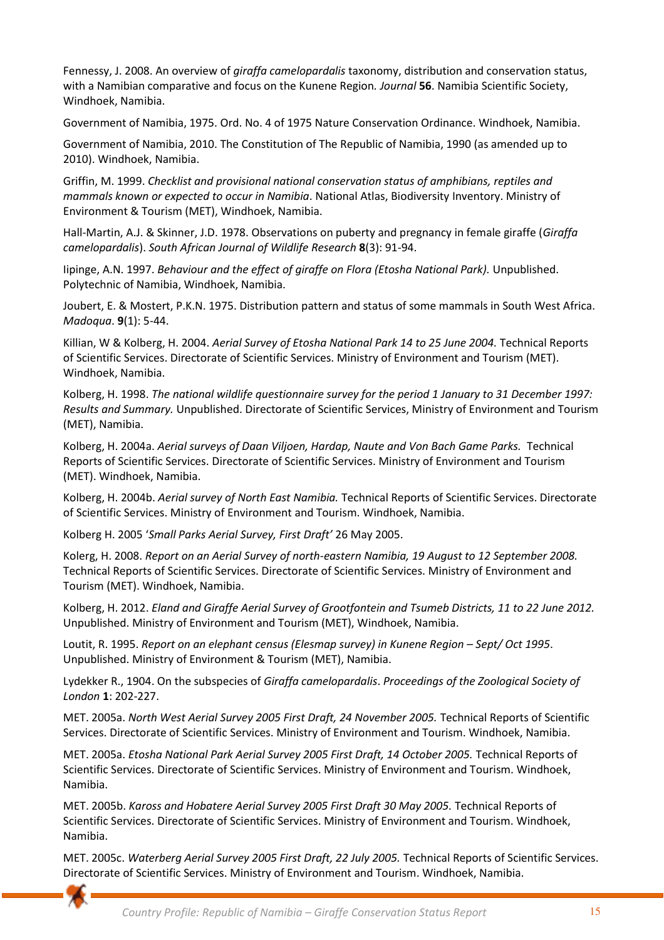Fennessy, J. 2008. An overview of *giraffa camelopardalis* taxonomy, distribution and conservation status, with a Namibian comparative and focus on the Kunene Region*. Journal* **56**. Namibia Scientific Society, Windhoek, Namibia.

Government of Namibia, 1975. Ord. No. 4 of 1975 Nature Conservation Ordinance. Windhoek, Namibia.

Government of Namibia, 2010. The Constitution of The Republic of Namibia, 1990 (as amended up to 2010). Windhoek, Namibia.

Griffin, M. 1999. *Checklist and provisional national conservation status of amphibians, reptiles and mammals known or expected to occur in Namibia*. National Atlas, Biodiversity Inventory. Ministry of Environment & Tourism (MET), Windhoek, Namibia.

Hall-Martin, A.J. & Skinner, J.D. 1978. Observations on puberty and pregnancy in female giraffe (*Giraffa camelopardalis*). *South African Journal of Wildlife Research* **8**(3): 91-94.

Iipinge, A.N. 1997. *Behaviour and the effect of giraffe on Flora (Etosha National Park).* Unpublished. Polytechnic of Namibia, Windhoek, Namibia.

Joubert, E. & Mostert, P.K.N. 1975. Distribution pattern and status of some mammals in South West Africa. *Madoqua*. **9**(1): 5-44.

Killian, W & Kolberg, H. 2004. *Aerial Survey of Etosha National Park 14 to 25 June 2004.* Technical Reports of Scientific Services. Directorate of Scientific Services. Ministry of Environment and Tourism (MET). Windhoek, Namibia.

Kolberg, H. 1998. *The national wildlife questionnaire survey for the period 1 January to 31 December 1997: Results and Summary.* Unpublished. Directorate of Scientific Services, Ministry of Environment and Tourism (MET), Namibia.

Kolberg, H. 2004a. *Aerial surveys of Daan Viljoen, Hardap, Naute and Von Bach Game Parks.* Technical Reports of Scientific Services. Directorate of Scientific Services. Ministry of Environment and Tourism (MET). Windhoek, Namibia.

Kolberg, H. 2004b. *Aerial survey of North East Namibia.* Technical Reports of Scientific Services. Directorate of Scientific Services. Ministry of Environment and Tourism. Windhoek, Namibia.

Kolberg H. 2005 '*Small Parks Aerial Survey, First Draft'* 26 May 2005.

Kolerg, H. 2008. *Report on an Aerial Survey of north-eastern Namibia, 19 August to 12 September 2008.* Technical Reports of Scientific Services. Directorate of Scientific Services. Ministry of Environment and Tourism (MET). Windhoek, Namibia.

Kolberg, H. 2012. *Eland and Giraffe Aerial Survey of Grootfontein and Tsumeb Districts, 11 to 22 June 2012.* Unpublished. Ministry of Environment and Tourism (MET), Windhoek, Namibia.

Loutit, R. 1995. *Report on an elephant census (Elesmap survey) in Kunene Region – Sept/ Oct 1995.* Unpublished. Ministry of Environment & Tourism (MET), Namibia.

Lydekker R., 1904. On the subspecies of *Giraffa camelopardalis*. *Proceedings of the Zoological Society of London* **1**: 202-227.

MET. 2005a. *North West Aerial Survey 2005 First Draft, 24 November 2005.* Technical Reports of Scientific Services. Directorate of Scientific Services. Ministry of Environment and Tourism. Windhoek, Namibia.

MET. 2005a. *Etosha National Park Aerial Survey 2005 First Draft, 14 October 2005.* Technical Reports of Scientific Services. Directorate of Scientific Services. Ministry of Environment and Tourism. Windhoek, Namibia.

MET. 2005b. *Kaross and Hobatere Aerial Survey 2005 First Draft 30 May 2005.* Technical Reports of Scientific Services. Directorate of Scientific Services. Ministry of Environment and Tourism. Windhoek, Namibia.

MET. 2005c. *Waterberg Aerial Survey 2005 First Draft, 22 July 2005.* Technical Reports of Scientific Services. Directorate of Scientific Services. Ministry of Environment and Tourism. Windhoek, Namibia.

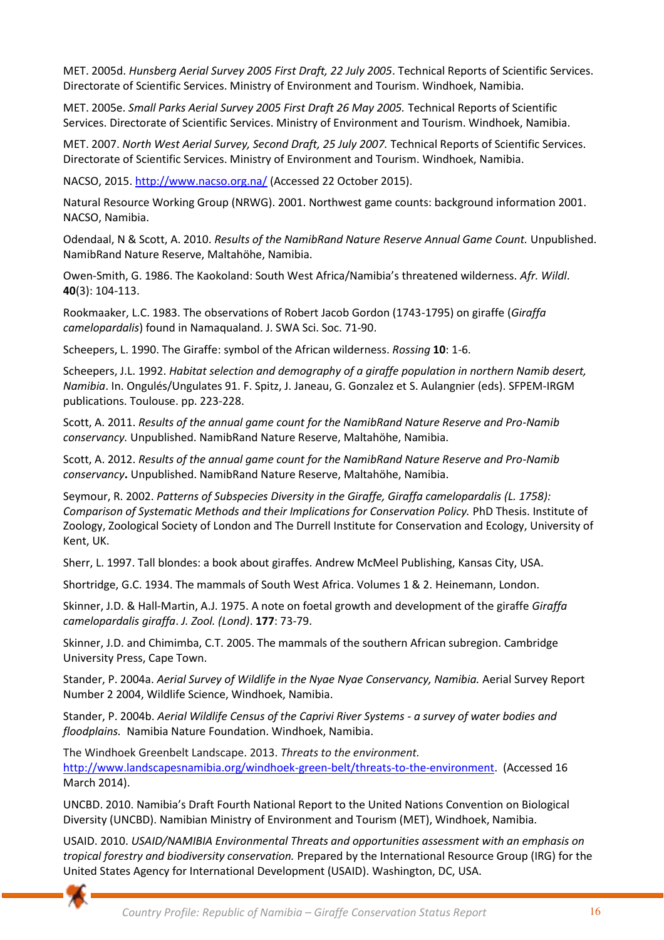MET. 2005d. *Hunsberg Aerial Survey 2005 First Draft, 22 July 2005*. Technical Reports of Scientific Services. Directorate of Scientific Services. Ministry of Environment and Tourism. Windhoek, Namibia.

MET. 2005e. *Small Parks Aerial Survey 2005 First Draft 26 May 2005.* Technical Reports of Scientific Services. Directorate of Scientific Services. Ministry of Environment and Tourism. Windhoek, Namibia.

MET. 2007. *North West Aerial Survey, Second Draft, 25 July 2007.* Technical Reports of Scientific Services. Directorate of Scientific Services. Ministry of Environment and Tourism. Windhoek, Namibia.

NACSO, 2015. [http://www.nacso.org.na/ \(](http://www.nacso.org.na/)Accessed 22 October 2015).

Natural Resource Working Group (NRWG). 2001. Northwest game counts: background information 2001. NACSO, Namibia.

Odendaal, N & Scott, A. 2010. *Results of the NamibRand Nature Reserve Annual Game Count.* Unpublished. NamibRand Nature Reserve, Maltahöhe, Namibia.

Owen-Smith, G. 1986. The Kaokoland: South West Africa/Namibia's threatened wilderness. *Afr. Wildl*. **40**(3): 104-113.

Rookmaaker, L.C. 1983. The observations of Robert Jacob Gordon (1743-1795) on giraffe (*Giraffa camelopardalis*) found in Namaqualand. J. SWA Sci. Soc. 71-90.

Scheepers, L. 1990. The Giraffe: symbol of the African wilderness. *Rossing* **10**: 1-6.

Scheepers, J.L. 1992. *Habitat selection and demography of a giraffe population in northern Namib desert, Namibia*. In. Ongulés/Ungulates 91. F. Spitz, J. Janeau, G. Gonzalez et S. Aulangnier (eds). SFPEM-IRGM publications. Toulouse. pp. 223-228.

Scott, A. 2011. *Results of the annual game count for the NamibRand Nature Reserve and Pro-Namib conservancy.* Unpublished. NamibRand Nature Reserve, Maltahöhe, Namibia.

Scott, A. 2012. *Results of the annual game count for the NamibRand Nature Reserve and Pro-Namib conservancy***.** Unpublished. NamibRand Nature Reserve, Maltahöhe, Namibia.

Seymour, R. 2002. *Patterns of Subspecies Diversity in the Giraffe, Giraffa camelopardalis (L. 1758): Comparison of Systematic Methods and their Implications for Conservation Policy.* PhD Thesis. Institute of Zoology, Zoological Society of London and The Durrell Institute for Conservation and Ecology, University of Kent, UK.

Sherr, L. 1997. Tall blondes: a book about giraffes. Andrew McMeel Publishing, Kansas City, USA.

Shortridge, G.C. 1934. The mammals of South West Africa. Volumes 1 & 2. Heinemann, London.

Skinner, J.D. & Hall-Martin, A.J. 1975. A note on foetal growth and development of the giraffe *Giraffa camelopardalis giraffa*. *J. Zool. (Lond)*. **177**: 73-79.

Skinner, J.D. and Chimimba, C.T. 2005. The mammals of the southern African subregion. Cambridge University Press, Cape Town.

Stander, P. 2004a. *Aerial Survey of Wildlife in the Nyae Nyae Conservancy, Namibia.* Aerial Survey Report Number 2 2004, Wildlife Science, Windhoek, Namibia.

Stander, P. 2004b. *Aerial Wildlife Census of the Caprivi River Systems - a survey of water bodies and floodplains.* Namibia Nature Foundation. Windhoek, Namibia.

The Windhoek Greenbelt Landscape. 2013. *Threats to the environment.* [http://www.landscapesnamibia.org/windhoek-green-belt/threats-to-the-environment.](http://www.landscapesnamibia.org/windhoek-green-belt/threats-to-the-environment) (Accessed 16 March 2014).

UNCBD. 2010. Namibia's Draft Fourth National Report to the United Nations Convention on Biological Diversity (UNCBD). Namibian Ministry of Environment and Tourism (MET), Windhoek, Namibia.

USAID. 2010. *USAID/NAMIBIA Environmental Threats and opportunities assessment with an emphasis on tropical forestry and biodiversity conservation.* Prepared by the International Resource Group (IRG) for the United States Agency for International Development (USAID). Washington, DC, USA.